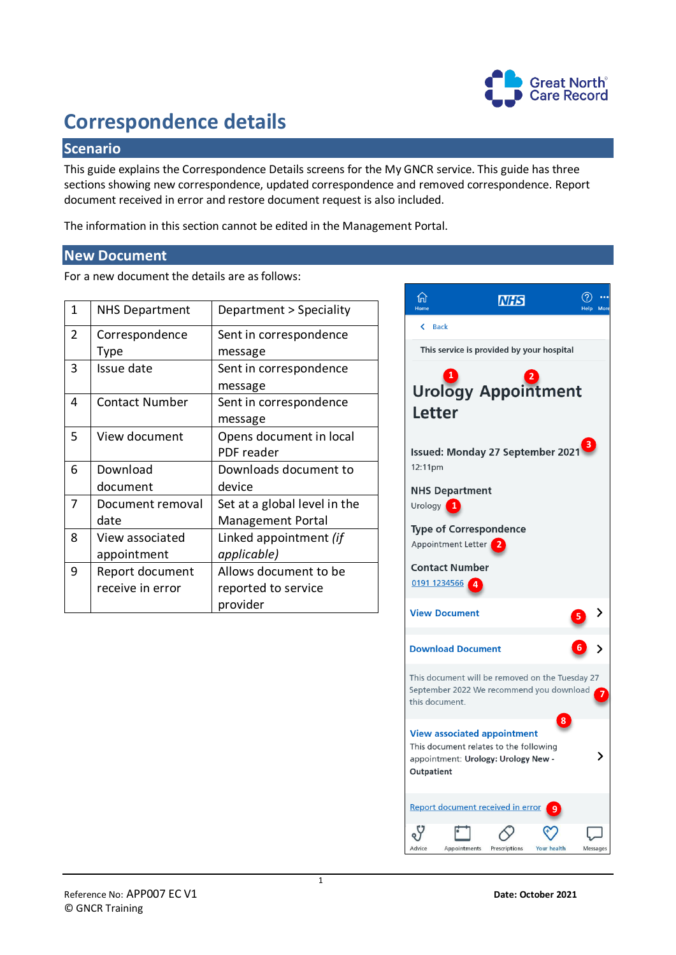

# **Correspondence details**

## **Scenario**

This guide explains the Correspondence Details screens for the My GNCR service. This guide has three sections showing new correspondence, updated correspondence and removed correspondence. Report document received in error and restore document request is also included.

The information in this section cannot be edited in the Management Portal.

#### **New Document**

For a new document the details are as follows:

| $\mathbf{1}$   | <b>NHS Department</b> | Department > Speciality      |  |  |
|----------------|-----------------------|------------------------------|--|--|
| $\overline{2}$ | Correspondence        | Sent in correspondence       |  |  |
|                | Type                  | message                      |  |  |
| 3              | Issue date            | Sent in correspondence       |  |  |
|                |                       | message                      |  |  |
| 4              | <b>Contact Number</b> | Sent in correspondence       |  |  |
|                |                       | message                      |  |  |
| 5              | View document         | Opens document in local      |  |  |
|                |                       | PDF reader                   |  |  |
| 6              | Download              | Downloads document to        |  |  |
|                | document              | device                       |  |  |
| 7              | Document removal      | Set at a global level in the |  |  |
|                | date                  | <b>Management Portal</b>     |  |  |
| 8              | View associated       | Linked appointment (if       |  |  |
|                | appointment           | applicable)                  |  |  |
| 9              | Report document       | Allows document to be        |  |  |
|                | receive in error      | reported to service          |  |  |
|                |                       | provider                     |  |  |

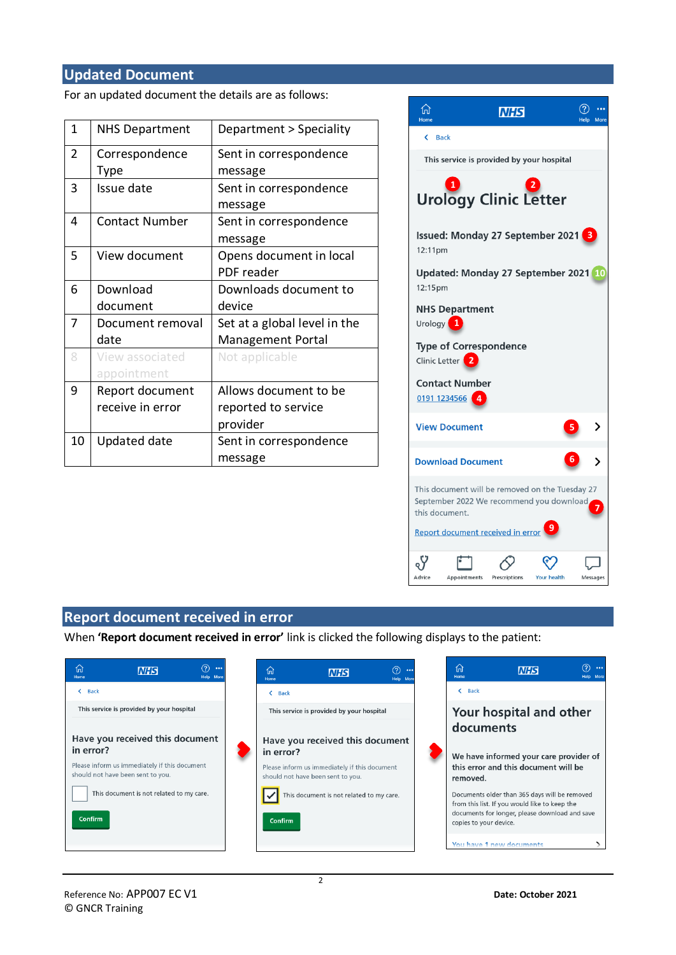#### **Updated Document**

For an updated document the details are as follows:

| $\mathbf{1}$ | <b>NHS Department</b> | Department > Speciality      |  |
|--------------|-----------------------|------------------------------|--|
| 2            | Correspondence        | Sent in correspondence       |  |
|              | Type                  | message                      |  |
| 3            | Issue date            | Sent in correspondence       |  |
|              |                       | message                      |  |
| 4            | <b>Contact Number</b> | Sent in correspondence       |  |
|              |                       | message                      |  |
| 5            | View document         | Opens document in local      |  |
|              |                       | PDF reader                   |  |
| 6            | Download              | Downloads document to        |  |
|              | document              | device                       |  |
| 7            | Document removal      | Set at a global level in the |  |
|              | date                  | <b>Management Portal</b>     |  |
| 8            | View associated       | Not applicable               |  |
|              | appointment           |                              |  |
| 9            | Report document       | Allows document to be        |  |
|              | receive in error      | reported to service          |  |
|              |                       | provider                     |  |
| 10           | <b>Updated date</b>   | Sent in correspondence       |  |
|              |                       | message                      |  |



### **Report document received in error**

When **'Report document received in error'** link is clicked the following displays to the patient: